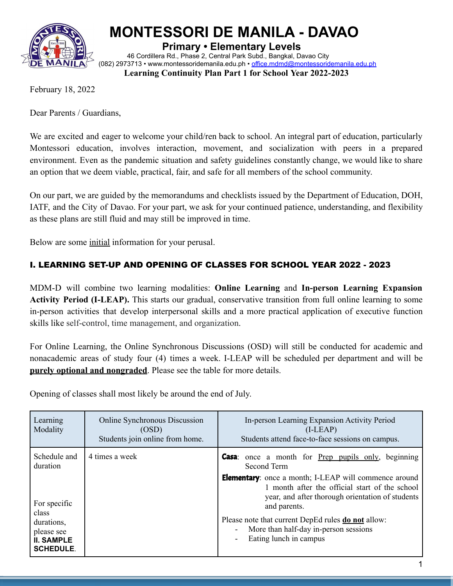

# **MONTESSORI DE MANILA - DAVAO**

**Primary • Elementary Levels**

46 Cordillera Rd., Phase 2, Central Park Subd., Bangkal, Davao City (082) 2973713 • [www.montessoridemanila.edu.ph](http://www.montessoridemanila.edu.ph) • office.mdmd@montessoridemanila.edu.ph **Learning Continuity Plan Part 1 for School Year 2022-2023**

February 18, 2022

Dear Parents / Guardians,

We are excited and eager to welcome your child/ren back to school. An integral part of education, particularly Montessori education, involves interaction, movement, and socialization with peers in a prepared environment. Even as the pandemic situation and safety guidelines constantly change, we would like to share an option that we deem viable, practical, fair, and safe for all members of the school community.

On our part, we are guided by the memorandums and checklists issued by the Department of Education, DOH, IATF, and the City of Davao. For your part, we ask for your continued patience, understanding, and flexibility as these plans are still fluid and may still be improved in time.

Below are some initial information for your perusal.

# I. LEARNING SET-UP AND OPENING OF CLASSES FOR SCHOOL YEAR 2022 - 2023

MDM-D will combine two learning modalities: **Online Learning** and **In-person Learning Expansion Activity Period (I-LEAP).** This starts our gradual, conservative transition from full online learning to some in-person activities that develop interpersonal skills and a more practical application of executive function skills like self-control, time management, and organization.

For Online Learning, the Online Synchronous Discussions (OSD) will still be conducted for academic and nonacademic areas of study four (4) times a week. I-LEAP will be scheduled per department and will be **purely optional and nongraded**. Please see the table for more details.

Opening of classes shall most likely be around the end of July.

| Learning<br><b>Online Synchronous Discussion</b><br>Modality<br>(OSD)<br>Students join online from home.                                | In-person Learning Expansion Activity Period<br>$(I-LEAP)$<br>Students attend face-to-face sessions on campus.                                                                                                                                                                                                                                                                                                                                         |  |  |
|-----------------------------------------------------------------------------------------------------------------------------------------|--------------------------------------------------------------------------------------------------------------------------------------------------------------------------------------------------------------------------------------------------------------------------------------------------------------------------------------------------------------------------------------------------------------------------------------------------------|--|--|
| Schedule and<br>4 times a week<br>duration<br>For specific<br>class<br>durations,<br>please see<br><b>II. SAMPLE</b><br><b>SCHEDULE</b> | <b>Casa</b> : once a month for <b>Prep pupils only</b> , beginning<br>Second Term<br><b>Elementary</b> : once a month; I-LEAP will commence around<br>1 month after the official start of the school<br>year, and after thorough orientation of students<br>and parents.<br>Please note that current DepEd rules <b>do not</b> allow:<br>More than half-day in-person sessions<br>$\blacksquare$<br>Eating lunch in campus<br>$\overline{\phantom{a}}$ |  |  |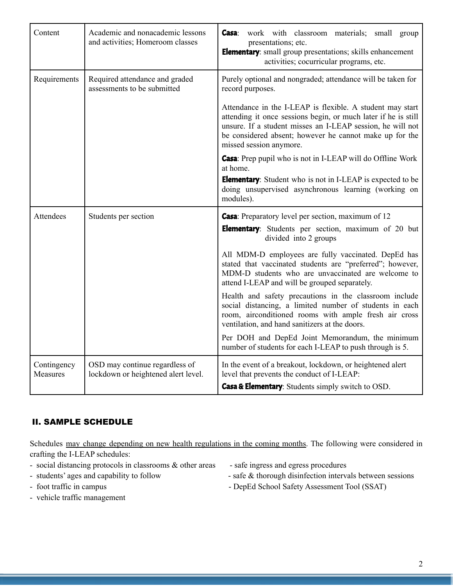| Content                 | Academic and nonacademic lessons<br>and activities; Homeroom classes  | work with classroom materials; small group<br><b>Casa</b> :<br>presentations; etc.<br><b>Elementary:</b> small group presentations; skills enhancement<br>activities; cocurricular programs, etc.                                                                               |  |  |  |  |  |  |
|-------------------------|-----------------------------------------------------------------------|---------------------------------------------------------------------------------------------------------------------------------------------------------------------------------------------------------------------------------------------------------------------------------|--|--|--|--|--|--|
| Requirements            | Required attendance and graded<br>assessments to be submitted         | Purely optional and nongraded; attendance will be taken for<br>record purposes.                                                                                                                                                                                                 |  |  |  |  |  |  |
|                         |                                                                       | Attendance in the I-LEAP is flexible. A student may start<br>attending it once sessions begin, or much later if he is still<br>unsure. If a student misses an I-LEAP session, he will not<br>be considered absent; however he cannot make up for the<br>missed session anymore. |  |  |  |  |  |  |
|                         |                                                                       | <b>Casa</b> : Prep pupil who is not in I-LEAP will do Offline Work<br>at home.<br><b>Elementary:</b> Student who is not in I-LEAP is expected to be<br>doing unsupervised asynchronous learning (working on<br>modules).                                                        |  |  |  |  |  |  |
| <b>Attendees</b>        | Students per section                                                  | <b>Casa</b> : Preparatory level per section, maximum of 12<br><b>Elementary:</b> Students per section, maximum of 20 but<br>divided into 2 groups                                                                                                                               |  |  |  |  |  |  |
|                         |                                                                       | All MDM-D employees are fully vaccinated. DepEd has<br>stated that vaccinated students are "preferred"; however,<br>MDM-D students who are unvaccinated are welcome to<br>attend I-LEAP and will be grouped separately.                                                         |  |  |  |  |  |  |
|                         |                                                                       | Health and safety precautions in the classroom include<br>social distancing, a limited number of students in each<br>room, airconditioned rooms with ample fresh air cross<br>ventilation, and hand sanitizers at the doors.                                                    |  |  |  |  |  |  |
|                         |                                                                       | Per DOH and DepEd Joint Memorandum, the minimum<br>number of students for each I-LEAP to push through is 5.                                                                                                                                                                     |  |  |  |  |  |  |
| Contingency<br>Measures | OSD may continue regardless of<br>lockdown or heightened alert level. | In the event of a breakout, lockdown, or heightened alert<br>level that prevents the conduct of I-LEAP:<br>Casa & Elementary: Students simply switch to OSD.                                                                                                                    |  |  |  |  |  |  |

## II. SAMPLE SCHEDULE

Schedules may change depending on new health regulations in the coming months. The following were considered in crafting the I-LEAP schedules:

- social distancing protocols in classrooms  $\&$  other areas safe ingress and egress procedures
- 
- 
- vehicle traffic management
- 
- students' ages and capability to follow safe & thorough disinfection intervals between sessions
- foot traffic in campus DepEd School Safety Assessment Tool (SSAT)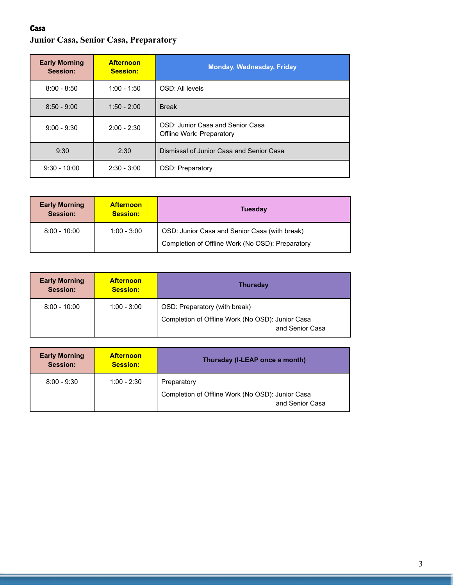# Casa **Junior Casa, Senior Casa, Preparatory**

| <b>Early Morning</b><br>Session: | <b>Afternoon</b><br><b>Session:</b> | <b>Monday, Wednesday, Friday</b>                              |
|----------------------------------|-------------------------------------|---------------------------------------------------------------|
| $8:00 - 8:50$                    | $1:00 - 1:50$                       | OSD: All levels                                               |
| $8:50 - 9:00$                    | $1:50 - 2:00$                       | <b>Break</b>                                                  |
| $9:00 - 9:30$                    | $2:00 - 2:30$                       | OSD: Junior Casa and Senior Casa<br>Offline Work: Preparatory |
| 9:30                             | 2:30                                | Dismissal of Junior Casa and Senior Casa                      |
| $9:30 - 10:00$                   | $2:30 - 3:00$                       | OSD: Preparatory                                              |

| <b>Early Morning</b><br>Session: | <b>Afternoon</b><br><b>Session:</b> | <b>Tuesday</b>                                                                                    |
|----------------------------------|-------------------------------------|---------------------------------------------------------------------------------------------------|
| $8:00 - 10:00$                   | $1:00 - 3:00$                       | OSD: Junior Casa and Senior Casa (with break)<br>Completion of Offline Work (No OSD): Preparatory |

| <b>Early Morning</b><br>Session: | <b>Afternoon</b><br><b>Session:</b> | <b>Thursday</b>                                                     |
|----------------------------------|-------------------------------------|---------------------------------------------------------------------|
| $8:00 - 10:00$                   | $1:00 - 3:00$                       | OSD: Preparatory (with break)                                       |
|                                  |                                     | Completion of Offline Work (No OSD): Junior Casa<br>and Senior Casa |

| <b>Early Morning</b><br>Session: | <b>Afternoon</b><br><b>Session:</b> | Thursday (I-LEAP once a month)                                      |
|----------------------------------|-------------------------------------|---------------------------------------------------------------------|
| $8:00 - 9:30$                    | $1:00 - 2:30$                       | Preparatory                                                         |
|                                  |                                     | Completion of Offline Work (No OSD): Junior Casa<br>and Senior Casa |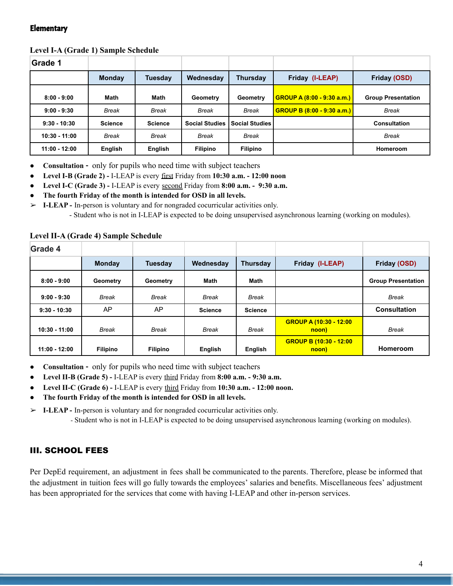#### **Elementary**

#### **Level I-A (Grade 1) Sample Schedule**

| Grade 1         |                |                |                       |                       |                                   |                           |
|-----------------|----------------|----------------|-----------------------|-----------------------|-----------------------------------|---------------------------|
|                 | <b>Monday</b>  | Tuesdav        | Wednesday             | Thursday              | Friday (I-LEAP)                   | Friday (OSD)              |
| $8:00 - 9:00$   | Math           | Math           | Geometry              | Geometry              | <b>GROUP A (8:00 - 9:30 a.m.)</b> | <b>Group Presentation</b> |
| $9:00 - 9:30$   | <b>Break</b>   | <b>Break</b>   | <b>Break</b>          | <b>Break</b>          | GROUP B (8:00 - 9:30 a.m.)        | <b>Break</b>              |
| $9:30 - 10:30$  | <b>Science</b> | <b>Science</b> | <b>Social Studies</b> | <b>Social Studies</b> |                                   | <b>Consultation</b>       |
| $10:30 - 11:00$ | Break          | Break          | <b>Break</b>          | Break                 |                                   | <b>Break</b>              |
| $11:00 - 12:00$ | English        | English        | <b>Filipino</b>       | <b>Filipino</b>       |                                   | Homeroom                  |

- **Consultation -** only for pupils who need time with subject teachers
- **● Level I-B (Grade 2) -** I-LEAP is every first Friday from **10:30 a.m. - 12:00 noon**
- **● Level I-C (Grade 3) -** I-LEAP is every second Friday from **8:00 a.m. - 9:30 a.m.**
- **● The fourth Friday of the month is intended for OSD in all levels.**

➢ **I-LEAP -** In-person is voluntary and for nongraded cocurricular activities only. - Student who is not in I-LEAP is expected to be doing unsupervised asynchronous learning (working on modules).

| Grade 4         |                 |                 |                |                 |                                        |                           |
|-----------------|-----------------|-----------------|----------------|-----------------|----------------------------------------|---------------------------|
|                 | <b>Monday</b>   | <b>Tuesday</b>  | Wednesday      | <b>Thursday</b> | Friday (I-LEAP)                        | Friday (OSD)              |
| $8:00 - 9:00$   | Geometry        | Geometry        | <b>Math</b>    | <b>Math</b>     |                                        | <b>Group Presentation</b> |
| $9:00 - 9:30$   | <b>Break</b>    | <b>Break</b>    | <b>Break</b>   | <b>Break</b>    |                                        | <b>Break</b>              |
| $9:30 - 10:30$  | AP              | AP              | <b>Science</b> | <b>Science</b>  |                                        | <b>Consultation</b>       |
| $10:30 - 11:00$ | <b>Break</b>    | Break           | <b>Break</b>   | <b>Break</b>    | <b>GROUP A (10:30 - 12:00</b><br>noon) | <b>Break</b>              |
| $11:00 - 12:00$ | <b>Filipino</b> | <b>Filipino</b> | English        | English         | <b>GROUP B (10:30 - 12:00</b><br>noon) | Homeroom                  |

#### **Level II-A (Grade 4) Sample Schedule**

- **Consultation -** only for pupils who need time with subject teachers
- **● Level II-B (Grade 5) -** I-LEAP is every third Friday from **8:00 a.m. - 9:30 a.m.**
- **● Level II-C (Grade 6) -** I-LEAP is every third Friday from **10:30 a.m. - 12:00 noon.**
- **● The fourth Friday of the month is intended for OSD in all levels.**

➢ **I-LEAP -** In-person is voluntary and for nongraded cocurricular activities only.

- Student who is not in I-LEAP is expected to be doing unsupervised asynchronous learning (working on modules).

## III. SCHOOL FEES

Per DepEd requirement, an adjustment in fees shall be communicated to the parents. Therefore, please be informed that the adjustment in tuition fees will go fully towards the employees' salaries and benefits. Miscellaneous fees' adjustment has been appropriated for the services that come with having I-LEAP and other in-person services.